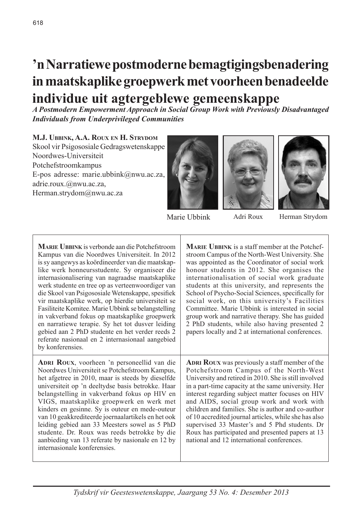# **'n Narratiewe postmoderne bemagtigingsbenadering in maatskaplike groepwerk met voorheen benadeelde individue uit agtergeblewe gemeenskappe**

*A Postmodern Empowerment Approach in Social Group Work with Previously Disadvantaged Individuals from Underprivileged Communities*

**M.J. Ubbink, A.A. Roux en H. Strydom**

Skool vir Psigososiale Gedragswetenskappe Noordwes-Universiteit Potchefstroomkampus E-pos adresse: marie.ubbink@nwu.ac.za, adrie.roux.@nwu.ac.za, Herman.strydom@nwu.ac.za







Marie Ubbink Adri Roux Herman Strydom

**Marie Ubbink** is verbonde aan die Potchefstroom Kampus van die Noordwes Universiteit. In 2012 is sy aangewys as koördineerder van die maatskaplike werk honneursstudente. Sy organiseer die internasionalisering van nagraadse maatskaplike werk studente en tree op as verteenwoordiger van die Skool van Psigososiale Wetenskappe, spesifiek vir maatskaplike werk, op hierdie universiteit se Fasiliteite Komitee. Marie Ubbink se belangstelling in vakverband fokus op maatskaplike groepwerk en narratiewe terapie. Sy het tot dusver leiding gebied aan 2 PhD studente en het verder reeds 2 referate nasionaal en 2 internasionaal aangebied by konferensies.

**Marie Ubbink** is a staff member at the Potchefstroom Campus of the North-West University. She was appointed as the Coordinator of social work honour students in 2012. She organises the internationalisation of social work graduate students at this university, and represents the School of Psycho-Social Sciences, specifically for social work, on this university's Facilities Committee. Marie Ubbink is interested in social group work and narrative therapy. She has guided 2 PhD students, while also having presented 2 papers locally and 2 at international conferences.

**Adri Roux**, voorheen 'n personeellid van die Noordwes Universiteit se Potchefstroom Kampus, het afgetree in 2010, maar is steeds by dieselfde universiteit op 'n deeltydse basis betrokke. Haar belangstelling in vakverband fokus op HIV en VIGS, maatskaplike groepwerk en werk met kinders en gesinne. Sy is outeur en mede-outeur van 10 geakkrediteerde joernaalartikels en het ook leiding gebied aan 33 Meesters sowel as 5 PhD studente. Dr. Roux was reeds betrokke by die aanbieding van 13 referate by nasionale en 12 by internasionale konferensies.

**ADRI ROUX** was previously a staff member of the Potchefstroom Campus of the North-West University and retired in 2010. She is still involved in a part-time capacity at the same university. Her interest regarding subject matter focuses on HIV and AIDS, social group work and work with children and families. She is author and co-author of 10 accredited journal articles, while she has also supervised 33 Master's and 5 Phd students. Dr Roux has participated and presented papers at 13 national and 12 international conferences.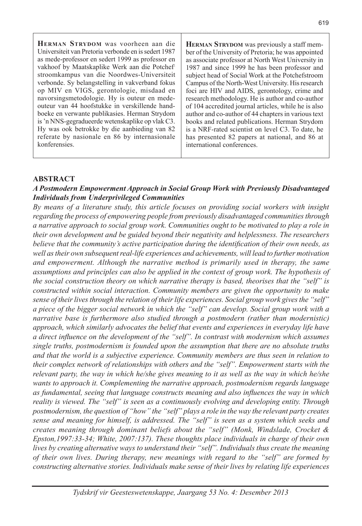**Herman Strydom** was voorheen aan die Universiteit van Pretoria verbonde en is sedert 1987 as mede-professor en sedert 1999 as professor en vakhoof by Maatskaplike Werk aan die Potchefstroomkampus van die Noordwes-Universiteit verbonde. Sy belangstelling in vakverband fokus op MIV en VIGS, gerontologie, misdaad en navorsingsmetodologie. Hy is outeur en medeouteur van 44 hoofstukke in verskillende handboeke en verwante publikasies. Herman Strydom is 'n NNS-gegradueerde wetenskaplike op vlak C3. Hy was ook betrokke by die aanbieding van 82 referate by nasionale en 86 by internasionale konferensies.

**HERMAN STRYDOM** was previously a staff member of the University of Pretoria; he was appointed as associate professor at North West University in 1987 and since 1999 he has been professor and subject head of Social Work at the Potchefstroom Campus of the North-West University. His research foci are HIV and AIDS, gerontology, crime and research methodology. He is author and co-author of 104 accredited journal articles, while he is also author and co-author of 44 chapters in various text books and related publications. Herman Strydom is a NRF-rated scientist on level C3. To date, he has presented 82 papers at national, and 86 at international conferences.

#### **ABSTRACT**

#### *A Postmodern Empowerment Approach in Social Group Work with Previously Disadvantaged Individuals from Underprivileged Communities*

*By means of a literature study, this article focuses on providing social workers with insight regarding the process of empowering people from previously disadvantaged communities through a narrative approach to social group work. Communities ought to be motivated to play a role in their own development and be guided beyond their negativity and helplessness. The researchers believe that the community's active participation during the identification of their own needs, as well as their own subsequent real-life experiences and achievements, will lead to further motivation and empowerment. Although the narrative method is primarily used in therapy, the same assumptions and principles can also be applied in the context of group work. The hypothesis of the social construction theory on which narrative therapy is based, theorises that the "self" is constructed within social interaction. Community members are given the opportunity to make sense of their lives through the relation of their life experiences. Social group work gives the "self" a piece of the bigger social network in which the "self" can develop. Social group work with a narrative base is furthermore also studied through a postmodern (rather than modernistic) approach, which similarly advocates the belief that events and experiences in everyday life have a direct influence on the development of the "self". In contrast with modernism which assumes single truths, postmodernism is founded upon the assumption that there are no absolute truths and that the world is a subjective experience. Community members are thus seen in relation to their complex network of relationships with others and the "self". Empowerment starts with the relevant party, the way in which he/she gives meaning to it as well as the way in which he/she wants to approach it. Complementing the narrative approach, postmodernism regards language as fundamental, seeing that language constructs meaning and also influences the way in which reality is viewed. The "self" is seen as a continuously evolving and developing entity. Through postmodernism, the question of "how" the "self" plays a role in the way the relevant party creates sense and meaning for himself, is addressed. The "self" is seen as a system which seeks and creates meaning through dominant beliefs about the "self" (Monk, Windslade, Crocket & Epston,1997:33-34; White, 2007:137). These thoughts place individuals in charge of their own lives by creating alternative ways to understand their "self". Individuals thus create the meaning of their own lives. During therapy, new meanings with regard to the "self" are formed by constructing alternative stories. Individuals make sense of their lives by relating life experiences*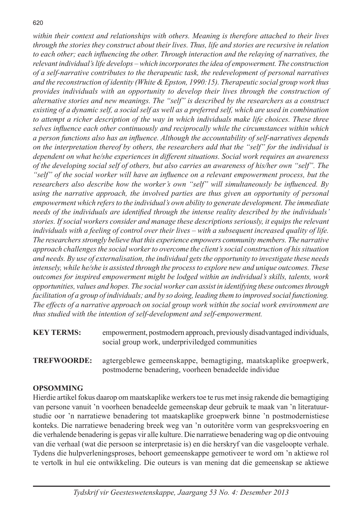*within their context and relationships with others. Meaning is therefore attached to their lives through the stories they construct about their lives. Thus, life and stories are recursive in relation to each other; each influencing the other. Through interaction and the relaying of narratives, the relevant individual's life develops – which incorporates the idea of empowerment. The construction of a self-narrative contributes to the therapeutic task, the redevelopment of personal narratives and the reconstruction of identity (White & Epston, 1990:15). Therapeutic social group work thus provides individuals with an opportunity to develop their lives through the construction of alternative stories and new meanings. The "self" is described by the researchers as a construct existing of a dynamic self, a social self as well as a preferred self, which are used in combination*  to attempt a richer description of the way in which individuals make life choices. These three *selves influence each other continuously and reciprocally while the circumstances within which a person functions also has an influence. Although the accountability of self-narratives depends on the interpretation thereof by others, the researchers add that the "self" for the individual is dependent on what he/she experiences in different situations. Social work requires an awareness of the developing social self of others, but also carries an awareness of his/her own "self". The "self" of the social worker will have an influence on a relevant empowerment process, but the researchers also describe how the worker's own "self" will simultaneously be influenced. By using the narrative approach, the involved parties are thus given an opportunity of personal empowerment which refers to the individual's own ability to generate development. The immediate needs of the individuals are identified through the intense reality described by the individuals' stories. If social workers consider and manage these descriptions seriously, it equips the relevant individuals with a feeling of control over their lives – with a subsequent increased quality of life. The researchers strongly believe that this experience empowers community members. The narrative approach challenges the social worker to overcome the client's social construction of his situation and needs. By use of externalisation, the individual gets the opportunity to investigate these needs intensely, while he/she is assisted through the process to explore new and unique outcomes. These outcomes for inspired empowerment might be lodged within an individual's skills, talents, work opportunities, values and hopes. The social worker can assist in identifying these outcomes through facilitation of a group of individuals; and by so doing, leading them to improved social functioning. The effects of a narrative approach on social group work within the social work environment are thus studied with the intention of self-development and self-empowerment.*

**KEY TERMS:** empowerment, postmodern approach, previously disadvantaged individuals, social group work, underpriviledged communities

**TREFWOORDE:** agtergeblewe gemeenskappe, bemagtiging, maatskaplike groepwerk, postmoderne benadering, voorheen benadeelde individue

# **OPSOMMING**

Hierdie artikel fokus daarop om maatskaplike werkers toe te rus met insig rakende die bemagtiging van persone vanuit 'n voorheen benadeelde gemeenskap deur gebruik te maak van 'n literatuurstudie oor 'n narratiewe benadering tot maatskaplike groepwerk binne 'n postmodernistiese konteks. Die narratiewe benadering breek weg van 'n outoritêre vorm van gespreksvoering en die verhalende benadering is gepas vir alle kulture. Die narratiewe benadering wag op die ontvouing van die verhaal (wat die persoon se interpretasie is) en die herskryf van die vasgeloopte verhale. Tydens die hulpverleningsproses, behoort gemeenskappe gemotiveer te word om 'n aktiewe rol te vertolk in hul eie ontwikkeling. Die outeurs is van mening dat die gemeenskap se aktiewe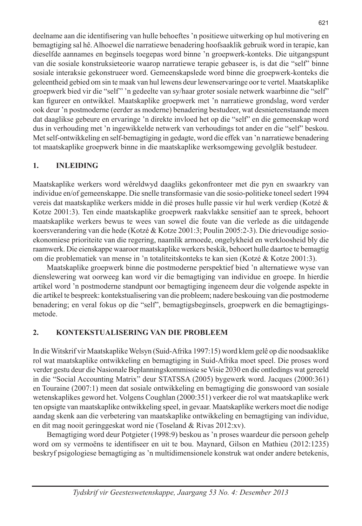deelname aan die identifisering van hulle behoeftes 'n positiewe uitwerking op hul motivering en bemagtiging sal hê. Alhoewel die narratiewe benadering hoofsaaklik gebruik word in terapie, kan dieselfde aannames en beginsels toegepas word binne 'n groepwerk-konteks. Die uitgangspunt van die sosiale konstruksieteorie waarop narratiewe terapie gebaseer is, is dat die "self" binne sosiale interaksie gekonstrueer word. Gemeenskapslede word binne die groepwerk-konteks die geleentheid gebied om sin te maak van hul lewens deur lewenservaringe oor te vertel. Maatskaplike groepwerk bied vir die "self'' 'n gedeelte van sy/haar groter sosiale netwerk waarbinne die "self" kan figureer en ontwikkel. Maatskaplike groepwerk met 'n narratiewe grondslag, word verder ook deur 'n postmoderne (eerder as moderne) benadering bestudeer, wat desnieteenstaande meen dat daaglikse gebeure en ervaringe 'n direkte invloed het op die "self" en die gemeenskap word dus in verhouding met 'n ingewikkelde netwerk van verhoudings tot ander en die "self" beskou. Met self-ontwikkeling en self-bemagtiging in gedagte, word die effek van 'n narratiewe benadering tot maatskaplike groepwerk binne in die maatskaplike werksomgewing gevolglik bestudeer.

# **1. INLEIDING**

Maatskaplike werkers word wêreldwyd daagliks gekonfronteer met die pyn en swaarkry van individue en/of gemeenskappe. Die snelle transformasie van die sosio-politieke toneel sedert 1994 vereis dat maatskaplike werkers midde in dié proses hulle passie vir hul werk verdiep (Kotzé & Kotze 2001:3). Ten einde maatskaplike groepwerk raakvlakke sensitief aan te spreek, behoort maatskaplike werkers bewus te wees van sowel die foute van die verlede as die uitdagende koersverandering van die hede (Kotzé & Kotze 2001:3; Poulin 2005:2-3). Die drievoudige sosioekonomiese prioriteite van die regering, naamlik armoede, ongelykheid en werkloosheid bly die raamwerk. Die eienskappe waaroor maatskaplike werkers beskik, behoort hulle daartoe te bemagtig om die problematiek van mense in 'n totaliteitskonteks te kan sien (Kotzé & Kotze 2001:3).

Maatskaplike groepwerk binne die postmoderne perspektief bied 'n alternatiewe wyse van dienslewering wat oorweeg kan word vir die bemagtiging van individue en groepe. In hierdie artikel word 'n postmoderne standpunt oor bemagtiging ingeneem deur die volgende aspekte in die artikel te bespreek: kontekstualisering van die probleem; nadere beskouing van die postmoderne benadering; en veral fokus op die "self", bemagtigsbeginsels, groepwerk en die bemagtigingsmetode.

# **2. KONTEKSTUALISERING VAN DIE PROBLEEM**

In die Witskrif vir Maatskaplike Welsyn (Suid-Afrika 1997:15) word klem gelê op die noodsaaklike rol wat maatskaplike ontwikkeling en bemagtiging in Suid-Afrika moet speel. Die proses word verder gestu deur die Nasionale Beplanningskommissie se Visie 2030 en die ontledings wat gereeld in die "Social Accounting Matrix" deur STATSSA (2005) bygewerk word. Jacques (2000:361) en Touraine (2007:1) meen dat sosiale ontwikkeling en bemagtiging die gonswoord van sosiale wetenskaplikes geword het. Volgens Coughlan (2000:351) verkeer die rol wat maatskaplike werk ten opsigte van maatskaplike ontwikkeling speel, in gevaar. Maatskaplike werkers moet die nodige aandag skenk aan die verbetering van maatskaplike ontwikkeling en bemagtiging van individue, en dit mag nooit geringgeskat word nie (Toseland & Rivas 2012:xv).

Bemagtiging word deur Potgieter (1998:9) beskou as 'n proses waardeur die persoon gehelp word om sy vermoëns te identifiseer en uit te bou. Maynard, Gilson en Mathieu (2012:1235) beskryf psigologiese bemagtiging as 'n multidimensionele konstruk wat onder andere betekenis,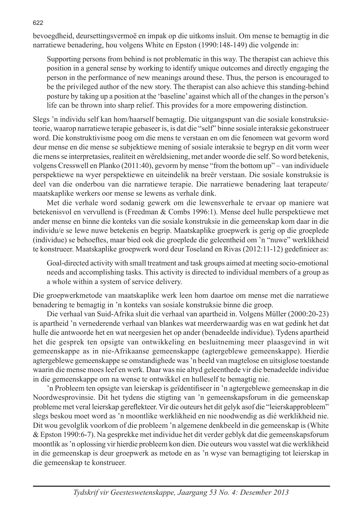bevoegdheid, deursettingsvermoë en impak op die uitkoms insluit. Om mense te bemagtig in die narratiewe benadering, hou volgens White en Epston (1990:148-149) die volgende in:

Supporting persons from behind is not problematic in this way. The therapist can achieve this position in a general sense by working to identify unique outcomes and directly engaging the person in the performance of new meanings around these. Thus, the person is encouraged to be the privileged author of the new story. The therapist can also achieve this standing-behind posture by taking up a position at the 'baseline' against which all of the changes in the person's life can be thrown into sharp relief. This provides for a more empowering distinction.

Slegs 'n individu self kan hom/haarself bemagtig. Die uitgangspunt van die sosiale konstruksieteorie, waarop narratiewe terapie gebaseer is, is dat die "self" binne sosiale interaksie gekonstrueer word. Die konstruktivisme poog om die mens te verstaan en om die fenomeen wat gevorm word deur mense en die mense se subjektiewe mening of sosiale interaksie te begryp en dit vorm weer die mens se interpretasies, realiteit en wêreldsiening, met ander woorde die self. So word betekenis, volgens Cresswell en Planko (2011:40), gevorm by mense "from the bottom up" – van individuele perspektiewe na wyer perspektiewe en uiteindelik na breër verstaan. Die sosiale konstruksie is deel van die onderbou van die narratiewe terapie. Die narratiewe benadering laat terapeute/ maatskaplike werkers oor mense se lewens as verhale dink.

Met die verhale word sodanig gewerk om die lewensverhale te ervaar op maniere wat betekenisvol en vervullend is (Freedman & Combs 1996:1). Mense deel hulle perspektiewe met ander mense en binne die konteks van die sosiale konstruksie in die gemeenskap kom daar in die individu/e se lewe nuwe betekenis en begrip. Maatskaplike groepwerk is gerig op die groeplede (individue) se behoeftes, maar bied ook die groeplede die geleentheid om 'n "nuwe" werklikheid te konstrueer. Maatskaplike groepwerk word deur Toseland en Rivas (2012:11-12) gedefinieer as:

Goal-directed activity with small treatment and task groups aimed at meeting socio-emotional needs and accomplishing tasks. This activity is directed to individual members of a group as a whole within a system of service delivery.

Die groepwerkmetode van maatskaplike werk leen hom daartoe om mense met die narratiewe benadering te bemagtig in 'n konteks van sosiale konstruksie binne die groep.

Die verhaal van Suid-Afrika sluit die verhaal van apartheid in. Volgens Müller (2000:20-23) is apartheid 'n vernederende verhaal van blankes wat meerderwaardig was en wat gedink het dat hulle die antwoorde het en wat neergesien het op ander (benadeelde individue). Tydens apartheid het die gesprek ten opsigte van ontwikkeling en besluitneming meer plaasgevind in wit gemeenskappe as in nie-Afrikaanse gemeenskappe (agtergeblewe gemeenskappe). Hierdie agtergeblewe gemeenskappe se omstandighede was 'n beeld van magtelose en uitsiglose toestande waarin die mense moes leef en werk. Daar was nie altyd geleenthede vir die benadeelde individue in die gemeenskappe om na wense te ontwikkel en hulleself te bemagtig nie.

'n Probleem ten opsigte van leierskap is geïdentifiseer in 'n agtergeblewe gemeenskap in die Noordwesprovinsie. Dit het tydens die stigting van 'n gemeenskapsforum in die gemeenskap probleme met veral leierskap gereflekteer. Vir die outeurs het dit gelyk asof die "leierskapprobleem" slegs beskou moet word as 'n moontlike werklikheid en nie noodwendig as dié werklikheid nie. Dit wou gevolglik voorkom of die probleem 'n algemene denkbeeld in die gemeenskap is (White & Epston 1990:6-7). Na gesprekke met individue het dit verder geblyk dat die gemeenskapsforum moontlik as 'n oplossing vir hierdie probleem kon dien. Die outeurs wou vasstel wat die werklikheid in die gemeenskap is deur groepwerk as metode en as 'n wyse van bemagtiging tot leierskap in die gemeenskap te konstrueer.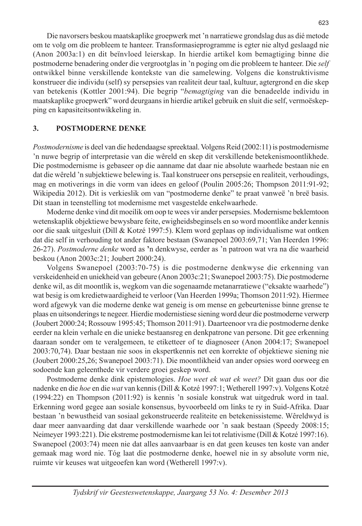Die navorsers beskou maatskaplike groepwerk met 'n narratiewe grondslag dus as dié metode om te volg om die probleem te hanteer. Transformasieprogramme is egter nie altyd geslaagd nie (Anon 2003a:1) en dit beïnvloed leierskap. In hierdie artikel kom bemagtiging binne die postmoderne benadering onder die vergrootglas in 'n poging om die probleem te hanteer. Die *self* ontwikkel binne verskillende kontekste van die samelewing. Volgens die konstruktivisme konstrueer die individu (self) sy persepsies van realiteit deur taal, kultuur, agtergrond en die skep van betekenis (Kottler 2001:94). Die begrip "*bemagtiging* van die benadeelde individu in maatskaplike groepwerk" word deurgaans in hierdie artikel gebruik en sluit die self, vermoëskepping en kapasiteitsontwikkeling in.

#### **3. POSTMODERNE DENKE**

*Postmodernisme* is deel van die hedendaagse spreektaal. Volgens Reid (2002:11) is postmodernisme 'n nuwe begrip of interpretasie van die wêreld en skep dit verskillende betekenismoontlikhede. Die postmodernisme is gebaseer op die aanname dat daar nie absolute waarhede bestaan nie en dat die wêreld 'n subjektiewe belewing is. Taal konstrueer ons persepsie en realiteit, verhoudings, mag en motiverings in die vorm van idees en geloof (Poulin 2005:26; Thompson 2011:91-92; Wikipedia 2012). Dit is verkieslik om van "postmoderne denke" te praat vanweë 'n breë basis. Dit staan in teenstelling tot modernisme met vasgestelde enkelwaarhede.

Moderne denke vind dit moeilik om oop te wees vir ander persepsies. Modernisme beklemtoon wetenskaplik objektiewe bewysbare feite, ewigheidsbeginsels en so word moontlike ander kennis oor die saak uitgesluit (Dill & Kotzé 1997:5). Klem word geplaas op individualisme wat ontken dat die self in verhouding tot ander faktore bestaan (Swanepoel 2003:69,71; Van Heerden 1996: 26-27). *Postmoderne denke* word as **'**n denkwyse, eerder as 'n patroon wat vra na die waarheid beskou (Anon 2003c:21; Joubert 2000:24).

Volgens Swanepoel (2003:70-75) is die postmoderne denkwyse die erkenning van verskeidenheid en uniekheid van gebeure (Anon 2003c:21; Swanepoel 2003:75). Die postmoderne denke wil, as dit moontlik is, wegkom van die sogenaamde metanarratiewe ("eksakte waarhede") wat besig is om kredietwaardigheid te verloor (Van Heerden 1999a; Thomson 2011:92). Hiermee word afgewyk van die moderne denke wat geneig is om mense en gebeurtenisse binne grense te plaas en uitsonderings te negeer. Hierdie modernistiese siening word deur die postmoderne verwerp (Joubert 2000:24; Rossouw 1995:45; Thomson 2011:91). Daarteenoor vra die postmoderne denke eerder na klein verhale en die unieke bestaansreg en denkpatrone van persone. Dit gee erkenning daaraan sonder om te veralgemeen, te etiketteer of te diagnoseer (Anon 2004:17; Swanepoel 2003:70,74). Daar bestaan nie soos in ekspertkennis net een korrekte of objektiewe siening nie (Joubert 2000:25,26; Swanepoel 2003:71). Die moontlikheid van ander opsies word oorweeg en sodoende kan geleenthede vir verdere groei geskep word.

Postmoderne denke dink epistemologies. *Hoe weet ek wat ek weet?* Dit gaan dus oor die nadenke en die *hoe* en die *wat* van kennis (Dill & Kotzé 1997:1; Wetherell 1997:v). Volgens Kotzé (1994:22) en Thompson (2011:92) is kennis 'n sosiale konstruk wat uitgedruk word in taal. Erkenning word gegee aan sosiale konsensus, byvoorbeeld om links te ry in Suid-Afrika. Daar bestaan 'n bewustheid van sosiaal gekonstrueerde realiteite en betekenissisteme. Wêreldwyd is daar meer aanvaarding dat daar verskillende waarhede oor 'n saak bestaan (Speedy 2008:15; Neimeyer 1993:221). Die ekstreme postmodernisme kan lei tot relativisme (Dill & Kotzé 1997:16). Swanepoel (2003:74) meen nie dat alles aanvaarbaar is en dat geen keuses ten koste van ander gemaak mag word nie. Tóg laat die postmoderne denke, hoewel nie in sy absolute vorm nie, ruimte vir keuses wat uitgeoefen kan word (Wetherell 1997:v).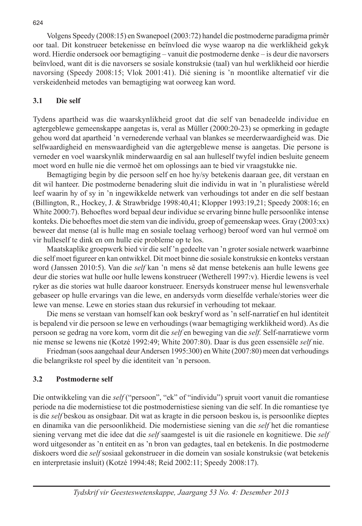Volgens Speedy (2008:15) en Swanepoel (2003:72) handel die postmoderne paradigma primêr oor taal. Dit konstrueer betekenisse en beïnvloed die wyse waarop na die werklikheid gekyk word. Hierdie ondersoek oor bemagtiging – vanuit die postmoderne denke – is deur die navorsers beïnvloed, want dit is die navorsers se sosiale konstruksie (taal) van hul werklikheid oor hierdie navorsing (Speedy 2008:15; Vlok 2001:41). Dié siening is 'n moontlike alternatief vir die verskeidenheid metodes van bemagtiging wat oorweeg kan word.

# **3.1 Die self**

Tydens apartheid was die waarskynlikheid groot dat die self van benadeelde individue en agtergeblewe gemeenskappe aangetas is, veral as Müller (2000:20-23) se opmerking in gedagte gehou word dat apartheid 'n vernederende verhaal van blankes se meerderwaardigheid was. Die selfwaardigheid en menswaardigheid van die agtergeblewe mense is aangetas. Die persone is verneder en voel waarskynlik minderwaardig en sal aan hulleself twyfel indien besluite geneem moet word en hulle nie die vermoë het om oplossings aan te bied vir vraagstukke nie.

Bemagtiging begin by die persoon self en hoe hy/sy betekenis daaraan gee, dit verstaan en dit wil hanteer. Die postmoderne benadering sluit die individu in wat in 'n pluralistiese wêreld leef waarin hy of sy in 'n ingewikkelde netwerk van verhoudings tot ander en die self bestaan (Billington, R., Hockey, J. & Strawbridge 1998:40,41; Klopper 1993:19,21; Speedy 2008:16; en White 2000:7). Behoeftes word bepaal deur individue se ervaring binne hulle persoonlike intense konteks. Die behoeftes moet die stem van die individu, groep of gemeenskap wees. Gray (2003:xx) beweer dat mense (al is hulle mag en sosiale toelaag verhoog) beroof word van hul vermoë om vir hulleself te dink en om hulle eie probleme op te los.

Maatskaplike groepwerk bied vir die self 'n gedeelte van 'n groter sosiale netwerk waarbinne die self moet figureer en kan ontwikkel. Dit moet binne die sosiale konstruksie en konteks verstaan word (Janssen 2010:5). Van die *self* kan 'n mens sê dat mense betekenis aan hulle lewens gee deur die stories wat hulle oor hulle lewens konstrueer (Wetherell 1997:v). Hierdie lewens is veel ryker as die stories wat hulle daaroor konstrueer. Enersyds konstrueer mense hul lewensverhale gebaseer op hulle ervarings van die lewe, en andersyds vorm dieselfde verhale/stories weer die lewe van mense. Lewe en stories staan dus rekursief in verhouding tot mekaar.

Die mens se verstaan van homself kan ook beskryf word as 'n self-narratief en hul identiteit is bepalend vir die persoon se lewe en verhoudings (waar bemagtiging werklikheid word). As die persoon se gedrag na vore kom, vorm dit die *self* en beweging van die *self.* Self-narratiewe vorm nie mense se lewens nie (Kotzé 1992:49; White 2007:80). Daar is dus geen essensiële *self* nie.

Friedman (soos aangehaal deur Andersen 1995:300) en White (2007:80) meen dat verhoudings die belangrikste rol speel by die identiteit van 'n persoon.

# **3.2 Postmoderne self**

Die ontwikkeling van die *self* ("persoon", "ek" of "individu") spruit voort vanuit die romantiese periode na die modernistiese tot die postmodernistiese siening van die self. In die romantiese tye is die *self* beskou as onsigbaar. Dit wat as kragte in die persoon beskou is, is persoonlike dieptes en dinamika van die persoonlikheid. Die modernistiese siening van die *self* het die romantiese siening vervang met die idee dat die *self* saamgestel is uit die rasionele en kognitiewe. Die *self* word uitgesonder as 'n entiteit en as 'n bron van gedagtes, taal en betekenis. In die postmoderne diskoers word die *self* sosiaal gekonstrueer in die domein van sosiale konstruksie (wat betekenis en interpretasie insluit) (Kotzé 1994:48; Reid 2002:11; Speedy 2008:17).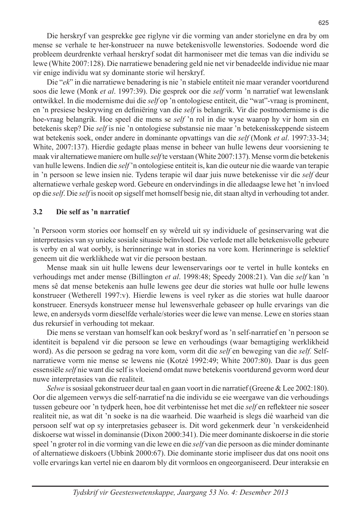Die "*ek*" in die narratiewe benadering is nie 'n stabiele entiteit nie maar verander voortdurend soos die lewe (Monk *et al*. 1997:39). Die gesprek oor die *self* vorm 'n narratief wat lewenslank ontwikkel. In die modernisme dui die *self* op 'n ontologiese entiteit, die "wat"-vraag is prominent, en 'n presiese beskrywing en definiëring van die *self* is belangrik. Vir die postmodernisme is die hoe-vraag belangrik. Hoe speel die mens se *self* 'n rol in die wyse waarop hy vir hom sin en betekenis skep? Die *self* is nie 'n ontologiese substansie nie maar 'n betekenisskeppende sisteem wat betekenis soek, onder andere in dominante opvattings van die *self* (Monk *et al*. 1997:33-34; White, 2007:137). Hierdie gedagte plaas mense in beheer van hulle lewens deur voorsiening te maak vir alternatiewe maniere om hulle *self* te verstaan (White 2007:137). Mense vorm die betekenis van hulle lewens. Indien die *self* 'n ontologiese entiteit is, kan die outeur nie die waarde van terapie in 'n persoon se lewe insien nie. Tydens terapie wil daar juis nuwe betekenisse vir die *self* deur alternatiewe verhale geskep word. Gebeure en ondervindings in die alledaagse lewe het 'n invloed op die *self*. Die *self* is nooit op sigself met homself besig nie, dit staan altyd in verhouding tot ander.

#### **3.2 Die self as 'n narratief**

'n Persoon vorm stories oor homself en sy wêreld uit sy individuele of gesinservaring wat die interpretasies van sy unieke sosiale situasie beïnvloed. Die verlede met alle betekenisvolle gebeure is verby en al wat oorbly, is herinneringe wat in stories na vore kom. Herinneringe is selektief geneem uit die werklikhede wat vir die persoon bestaan.

Mense maak sin uit hulle lewens deur lewenservarings oor te vertel in hulle konteks en verhoudings met ander mense (Billington *et al*. 1998:48; Speedy 2008:21). Van die *self* kan 'n mens sê dat mense betekenis aan hulle lewens gee deur die stories wat hulle oor hulle lewens konstrueer (Wetherell 1997:v). Hierdie lewens is veel ryker as die stories wat hulle daaroor konstrueer. Enersyds konstrueer mense hul lewensverhale gebaseer op hulle ervarings van die lewe, en andersyds vorm dieselfde verhale/stories weer die lewe van mense. Lewe en stories staan dus rekursief in verhouding tot mekaar.

Die mens se verstaan van homself kan ook beskryf word as 'n self-narratief en 'n persoon se identiteit is bepalend vir die persoon se lewe en verhoudings (waar bemagtiging werklikheid word). As die persoon se gedrag na vore kom, vorm dit die *self* en beweging van die *self.* Selfnarratiewe vorm nie mense se lewens nie (Kotzé 1992:49; White 2007:80). Daar is dus geen essensiële *self* nie want die self is vloeiend omdat nuwe betekenis voortdurend gevorm word deur nuwe interpretasies van die realiteit.

*Selwe* is sosiaal gekonstrueer deur taal en gaan voort in die narratief (Greene & Lee 2002:180). Oor die algemeen verwys die self-narratief na die individu se eie weergawe van die verhoudings tussen gebeure oor 'n tydperk heen, hoe dit verbintenisse het met die *self* en reflekteer nie soseer realiteit nie, as wat dit 'n soeke is na die waarheid. Die waarheid is slegs dié waarheid van die persoon self wat op sy interpretasies gebaseer is. Dit word gekenmerk deur 'n verskeidenheid diskoerse wat wissel in dominansie (Dixon 2000:341). Die meer dominante diskoerse in die storie speel 'n groter rol in die vorming van die lewe en die *self* van die persoon as die minder dominante of alternatiewe diskoers (Ubbink 2000:67). Die dominante storie impliseer dus dat ons nooit ons volle ervarings kan vertel nie en daarom bly dit vormloos en ongeorganiseerd. Deur interaksie en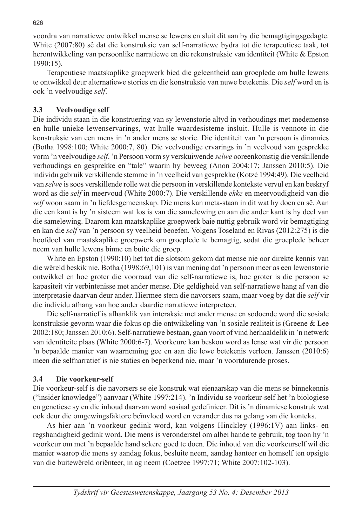voordra van narratiewe ontwikkel mense se lewens en sluit dit aan by die bemagtigingsgedagte. White (2007:80) sê dat die konstruksie van self-narratiewe bydra tot die terapeutiese taak, tot herontwikkeling van persoonlike narratiewe en die rekonstruksie van identiteit (White & Epston 1990:15).

Terapeutiese maatskaplike groepwerk bied die geleentheid aan groeplede om hulle lewens te ontwikkel deur alternatiewe stories en die konstruksie van nuwe betekenis. Die *self* word en is ook 'n veelvoudige *self*.

# **3.3 Veelvoudige self**

Die individu staan in die konstruering van sy lewenstorie altyd in verhoudings met medemense en hulle unieke lewenservarings, wat hulle waardesisteme insluit. Hulle is vennote in die konstruksie van een mens in 'n ander mens se storie. Die identiteit van 'n persoon is dinamies (Botha 1998:100; White 2000:7, 80). Die veelvoudige ervarings in 'n veelvoud van gesprekke vorm 'n veelvoudige *self*. 'n Persoon vorm sy verskuiwende *selwe* ooreenkomstig die verskillende verhoudings en gesprekke en "tale" waarin hy beweeg (Anon 2004:17; Janssen 2010:5). Die individu gebruik verskillende stemme in 'n veelheid van gesprekke (Kotzé 1994:49). Die veelheid van *selwe* is soos verskillende rolle wat die persoon in verskillende kontekste vervul en kan beskryf word as die *self* in meervoud (White 2000:7). Die verskillende *ekke* en meervoudigheid van die *self* woon saam in 'n liefdesgemeenskap. Die mens kan meta-staan in dit wat hy doen en sê. Aan die een kant is hy 'n sisteem wat los is van die samelewing en aan die ander kant is hy deel van die samelewing. Daarom kan maatskaplike groepwerk baie nuttig gebruik word vir bemagtiging en kan die *self* van 'n persoon sy veelheid beoefen. Volgens Toseland en Rivas (2012:275) is die hoofdoel van maatskaplike groepwerk om groeplede te bemagtig, sodat die groeplede beheer neem van hulle lewens binne en buite die groep.

White en Epston (1990:10) het tot die slotsom gekom dat mense nie oor direkte kennis van die wêreld beskik nie. Botha (1998:69,101) is van mening dat 'n persoon meer as een lewenstorie ontwikkel en hoe groter die voorraad van die self-narratiewe is, hoe groter is die persoon se kapasiteit vir verbintenisse met ander mense. Die geldigheid van self-narratiewe hang af van die interpretasie daarvan deur ander. Hiermee stem die navorsers saam, maar voeg by dat die *self* vir die individu afhang van hoe ander daardie narratiewe interpreteer.

Die self-narratief is afhanklik van interaksie met ander mense en sodoende word die sosiale konstruksie gevorm waar die fokus op die ontwikkeling van 'n sosiale realiteit is (Greene & Lee 2002:180; Janssen 2010:6). Self-narratiewe bestaan, gaan voort of vind herhaaldelik in 'n netwerk van identiteite plaas (White 2000:6-7). Voorkeure kan beskou word as lense wat vir die persoon 'n bepaalde manier van waarneming gee en aan die lewe betekenis verleen. Janssen (2010:6) meen die selfnarratief is nie staties en beperkend nie, maar 'n voortdurende proses.

# **3.4 Die voorkeur-self**

Die voorkeur-self is die navorsers se eie konstruk wat eienaarskap van die mens se binnekennis ("insider knowledge") aanvaar (White 1997:214). 'n Individu se voorkeur-self het 'n biologiese en genetiese sy en die inhoud daarvan word sosiaal gedefinieer. Dit is 'n dinamiese konstruk wat ook deur die omgewingsfaktore beïnvloed word en verander dus na gelang van die konteks.

As hier aan 'n voorkeur gedink word, kan volgens Hinckley (1996:1V) aan links- en regshandigheid gedink word. Die mens is veronderstel om albei hande te gebruik, tog toon hy 'n voorkeur om met 'n bepaalde hand sekere goed te doen. Die inhoud van die voorkeurself wil die manier waarop die mens sy aandag fokus, besluite neem, aandag hanteer en homself ten opsigte van die buitewêreld oriënteer, in ag neem (Coetzee 1997:71; White 2007:102-103).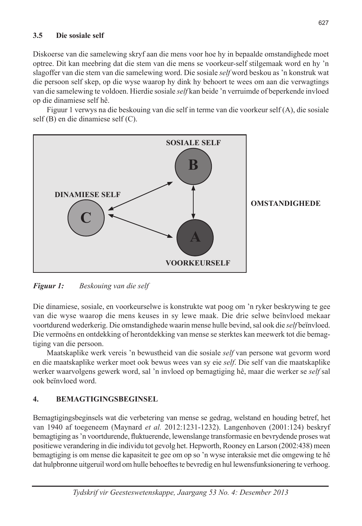#### **3.5 Die sosiale self**

Diskoerse van die samelewing skryf aan die mens voor hoe hy in bepaalde omstandighede moet optree. Dit kan meebring dat die stem van die mens se voorkeur-self stilgemaak word en hy 'n slagoffer van die stem van die samelewing word. Die sosiale *self* word beskou as 'n konstruk wat die persoon self skep, op die wyse waarop hy dink hy behoort te wees om aan die verwagtings van die samelewing te voldoen. Hierdie sosiale *self* kan beide 'n verruimde of beperkende invloed op die dinamiese self hê.

Figuur 1 verwys na die beskouing van die self in terme van die voorkeur self (A), die sosiale self (B) en die dinamiese self (C).



*Figuur 1: Beskouing van die self*

Die dinamiese, sosiale, en voorkeurselwe is konstrukte wat poog om 'n ryker beskrywing te gee van die wyse waarop die mens keuses in sy lewe maak. Die drie selwe beïnvloed mekaar voortdurend wederkerig. Die omstandighede waarin mense hulle bevind, sal ook die *self* beïnvloed. Die vermoëns en ontdekking of herontdekking van mense se sterktes kan meewerk tot die bemagtiging van die persoon.

Maatskaplike werk vereis 'n bewustheid van die sosiale *self* van persone wat gevorm word en die maatskaplike werker moet ook bewus wees van sy eie *self*. Die self van die maatskaplike werker waarvolgens gewerk word, sal 'n invloed op bemagtiging hê, maar die werker se *self* sal ook beïnvloed word.

# **4. BEMAGTIGINGSBEGINSEL**

Bemagtigingsbeginsels wat die verbetering van mense se gedrag, welstand en houding betref, het van 1940 af toegeneem (Maynard *et al.* 2012:1231-1232). Langenhoven (2001:124) beskryf bemagtiging as 'n voortdurende, fluktuerende, lewenslange transformasie en bevrydende proses wat positiewe verandering in die individu tot gevolg het. Hepworth, Rooney en Larson (2002:438) meen bemagtiging is om mense die kapasiteit te gee om op so 'n wyse interaksie met die omgewing te hê dat hulpbronne uitgeruil word om hulle behoeftes te bevredig en hul lewensfunksionering te verhoog.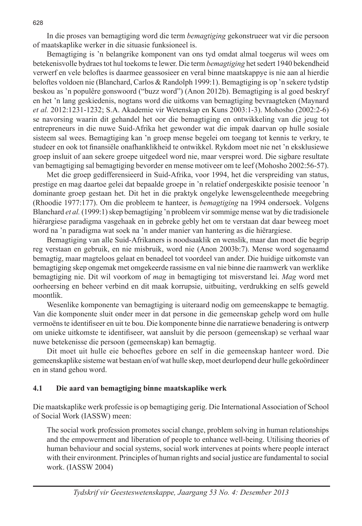In die proses van bemagtiging word die term *bemagtiging* gekonstrueer wat vir die persoon of maatskaplike werker in die situasie funksioneel is.

Bemagtiging is 'n belangrike komponent van ons tyd omdat almal toegerus wil wees om betekenisvolle bydraes tot hul toekoms te lewer. Die term *bemagtiging* het sedert 1940 bekendheid verwerf en vele beloftes is daarmee geassosieer en veral binne maatskappye is nie aan al hierdie beloftes voldoen nie (Blanchard, Carlos & Randolph 1999:1). Bemagtiging is op 'n sekere tydstip beskou as 'n populêre gonswoord ("buzz word") (Anon 2012b). Bemagtiging is al goed beskryf en het 'n lang geskiedenis, nogtans word die uitkoms van bemagtiging bevraagteken (Maynard *et al.* 2012:1231-1232; S.A. Akademie vir Wetenskap en Kuns 2003:1-3). Mohosho (2002:2-6) se navorsing waarin dit gehandel het oor die bemagtiging en ontwikkeling van die jeug tot entrepreneurs in die nuwe Suid-Afrika het gewonder wat die impak daarvan op hulle sosiale sisteem sal wees. Bemagtiging kan 'n groep mense begelei om toegang tot kennis te verkry, te studeer en ook tot finansiële onafhanklikheid te ontwikkel. Rykdom moet nie net 'n eksklusiewe groep insluit of aan sekere groepe uitgedeel word nie, maar versprei word. Die sigbare resultate van bemagtiging sal bemagtiging bevorder en mense motiveer om te leef (Mohosho 2002:56-57).

Met die groep gedifferensieerd in Suid-Afrika, voor 1994, het die verspreiding van status, prestige en mag daartoe gelei dat bepaalde groepe in 'n relatief ondergeskikte posisie teenoor 'n dominante groep gestaan het. Dit het in die praktyk ongelyke lewensgeleenthede meegebring (Rhoodie 1977:177). Om die probleem te hanteer, is *bemagtiging* na 1994 ondersoek. Volgens Blanchard *et al.* (1999:1) skep bemagtiging 'n probleem vir sommige mense wat by die tradisionele hiërargiese paradigma vasgehaak en in gebreke gebly het om te verstaan dat daar beweeg moet word na 'n paradigma wat soek na 'n ander manier van hantering as die hiërargiese.

Bemagtiging van alle Suid-Afrikaners is noodsaaklik en wenslik, maar dan moet die begrip reg verstaan en gebruik, en nie misbruik, word nie (Anon 2003b:7). Mense word sogenaamd bemagtig, maar magteloos gelaat en benadeel tot voordeel van ander. Die huidige uitkomste van bemagtiging skep ongemak met omgekeerde rassisme en val nie binne die raamwerk van werklike bemagtiging nie. Dit wil voorkom of *mag* in bemagtiging tot misverstand lei. *Mag* word met oorheersing en beheer verbind en dit maak korrupsie, uitbuiting, verdrukking en selfs geweld moontlik.

Wesenlike komponente van bemagtiging is uiteraard nodig om gemeenskappe te bemagtig. Van die komponente sluit onder meer in dat persone in die gemeenskap gehelp word om hulle vermoëns te identifiseer en uit te bou. Die komponente binne die narratiewe benadering is ontwerp om unieke uitkomste te identifiseer, wat aansluit by die persoon (gemeenskap) se verhaal waar nuwe betekenisse die persoon (gemeenskap) kan bemagtig.

Dit moet uit hulle eie behoeftes gebore en self in die gemeenskap hanteer word. Die gemeenskaplike sisteme wat bestaan en/of wat hulle skep, moet deurlopend deur hulle gekoördineer en in stand gehou word.

#### **4.1 Die aard van bemagtiging binne maatskaplike werk**

Die maatskaplike werk professie is op bemagtiging gerig. Die International Association of School of Social Work (IASSW) meen:

The social work profession promotes social change, problem solving in human relationships and the empowerment and liberation of people to enhance well-being. Utilising theories of human behaviour and social systems, social work intervenes at points where people interact with their environment. Principles of human rights and social justice are fundamental to social work. (IASSW 2004)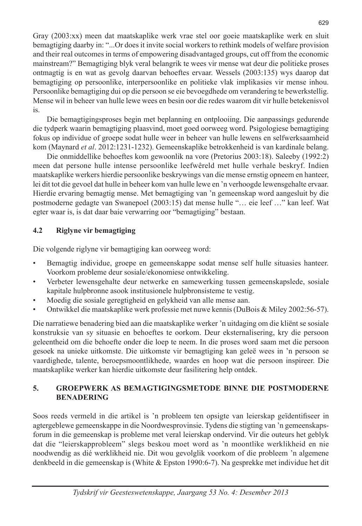Gray (2003:xx) meen dat maatskaplike werk vrae stel oor goeie maatskaplike werk en sluit bemagtiging daarby in: "...Or does it invite social workers to rethink models of welfare provision and their real outcomes in terms of empowering disadvantaged groups, cut off from the economic mainstream?" Bemagtiging blyk veral belangrik te wees vir mense wat deur die politieke proses ontmagtig is en wat as gevolg daarvan behoeftes ervaar. Wessels (2003:135) wys daarop dat bemagtiging op persoonlike, interpersoonlike en politieke vlak implikasies vir mense inhou. Persoonlike bemagtiging dui op die persoon se eie bevoegdhede om verandering te bewerkstellig. Mense wil in beheer van hulle lewe wees en besin oor die redes waarom dit vir hulle betekenisvol is.

Die bemagtigingsproses begin met beplanning en ontplooiing. Die aanpassings gedurende die tydperk waarin bemagtiging plaasvind, moet goed oorweeg word. Psigologiese bemagtiging fokus op individue of groepe sodat hulle weer in beheer van hulle lewens en selfwerksaamheid kom (Maynard *et al*. 2012:1231-1232). Gemeenskaplike betrokkenheid is van kardinale belang.

Die onmiddellike behoeftes kom gewoonlik na vore (Pretorius 2003:18). Saleeby (1992:2) meen dat persone hulle intense persoonlike leefwêreld met hulle verhale beskryf. Indien maatskaplike werkers hierdie persoonlike beskrywings van die mense ernstig opneem en hanteer, lei dit tot die gevoel dat hulle in beheer kom van hulle lewe en 'n verhoogde lewensgehalte ervaar. Hierdie ervaring bemagtig mense. Met bemagtiging van 'n gemeenskap word aangesluit by die postmoderne gedagte van Swanepoel (2003:15) dat mense hulle "… eie leef …" kan leef. Wat egter waar is, is dat daar baie verwarring oor "bemagtiging" bestaan.

# **4.2 Riglyne vir bemagtiging**

Die volgende riglyne vir bemagtiging kan oorweeg word:

- Bemagtig individue, groepe en gemeenskappe sodat mense self hulle situasies hanteer. Voorkom probleme deur sosiale/ekonomiese ontwikkeling.
- Verbeter lewensgehalte deur netwerke en samewerking tussen gemeenskapslede, sosiale kapitale hulpbronne asook institusionele hulpbronsisteme te vestig.
- Moedig die sosiale geregtigheid en gelykheid van alle mense aan.
- Ontwikkel die maatskaplike werk professie met nuwe kennis (DuBois & Miley 2002:56-57).

Die narratiewe benadering bied aan die maatskaplike werker 'n uitdaging om die kliënt se sosiale konstruksie van sy situasie en behoeftes te oorkom. Deur eksternalisering, kry die persoon geleentheid om die behoefte onder die loep te neem. In die proses word saam met die persoon gesoek na unieke uitkomste. Die uitkomste vir bemagtiging kan geleë wees in 'n persoon se vaardighede, talente, beroepsmoontlikhede, waardes en hoop wat die persoon inspireer. Die maatskaplike werker kan hierdie uitkomste deur fasilitering help ontdek.

# **5. GROEPWERK AS BEMAGTIGINGSMETODE BINNE DIE POSTMODERNE BENADERING**

Soos reeds vermeld in die artikel is 'n probleem ten opsigte van leierskap geïdentifiseer in agtergeblewe gemeenskappe in die Noordwesprovinsie. Tydens die stigting van 'n gemeenskapsforum in die gemeenskap is probleme met veral leierskap ondervind. Vir die outeurs het geblyk dat die "leierskapprobleem" slegs beskou moet word as 'n moontlike werklikheid en nie noodwendig as dié werklikheid nie. Dit wou gevolglik voorkom of die probleem 'n algemene denkbeeld in die gemeenskap is (White & Epston 1990:6-7). Na gesprekke met individue het dit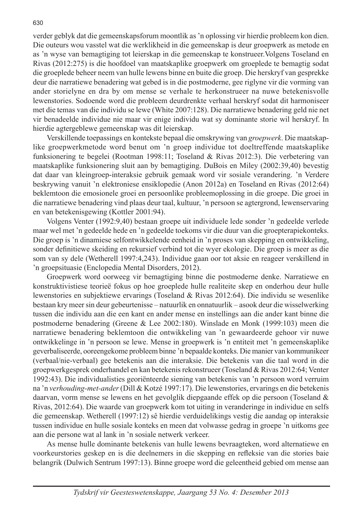verder geblyk dat die gemeenskapsforum moontlik as 'n oplossing vir hierdie probleem kon dien. Die outeurs wou vasstel wat die werklikheid in die gemeenskap is deur groepwerk as metode en as 'n wyse van bemagtiging tot leierskap in die gemeenskap te konstrueer.Volgens Toseland en Rivas (2012:275) is die hoofdoel van maatskaplike groepwerk om groeplede te bemagtig sodat die groeplede beheer neem van hulle lewens binne en buite die groep. Die herskryf van gesprekke deur die narratiewe benadering wat gebed is in die postmoderne, gee riglyne vir die vorming van ander storielyne en dra by om mense se verhale te herkonstrueer na nuwe betekenisvolle lewenstories. Sodoende word die probleem deurdrenkte verhaal herskryf sodat dit harmoniseer met die temas van die individu se lewe (White 2007:128). Die narratiewe benadering geld nie net vir benadeelde individue nie maar vir enige individu wat sy dominante storie wil herskryf. In hierdie agtergeblewe gemeenskap was dit leierskap.

Verskillende toepassings en kontekste bepaal die omskrywing van *groepwerk*. Die maatskaplike groepwerkmetode word benut om 'n groep individue tot doeltreffende maatskaplike funksionering te begelei (Rootman 1998:11; Toseland & Rivas 2012:3). Die verbetering van maatskaplike funksionering sluit aan by bemagtiging. DuBois en Miley (2002:39,40) bevestig dat daar van kleingroep-interaksie gebruik gemaak word vir sosiale verandering. 'n Verdere beskrywing vanuit 'n elektroniese ensiklopedie (Anon 2012a) en Toseland en Rivas (2012:64) beklemtoon die emosionele groei en persoonlike probleemoplossing in die groepe. Die groei in die narratiewe benadering vind plaas deur taal, kultuur, 'n persoon se agtergrond, lewenservaring en van betekenisgewing (Kottler 2001:94).

Volgens Venter (1992:9,40) bestaan groepe uit individuele lede sonder 'n gedeelde verlede maar wel met 'n gedeelde hede en 'n gedeelde toekoms vir die duur van die groepterapiekonteks. Die groep is 'n dinamiese selfontwikkelende eenheid in 'n proses van skepping en ontwikkeling, sonder definitiewe skeiding en rekursief verbind tot die wyer ekologie. Die groep is meer as die som van sy dele (Wetherell 1997:4,243). Individue gaan oor tot aksie en reageer verskillend in 'n groepsituasie (Enclopedia Mental Disorders, 2012).

Groepwerk word oorweeg vir bemagtiging binne die postmoderne denke. Narratiewe en konstruktivistiese teorieë fokus op hoe groeplede hulle realiteite skep en onderhou deur hulle lewenstories en subjektiewe ervarings (Toseland & Rivas 2012:64). Die individu se wesenlike bestaan kry meer sin deur gebeurtenisse – natuurlik en onnatuurlik – asook deur die wisselwerking tussen die individu aan die een kant en ander mense en instellings aan die ander kant binne die postmoderne benadering (Greene & Lee 2002:180). Winslade en Monk (1999:103) meen die narratiewe benadering beklemtoon die ontwikkeling van 'n gewaardeerde gehoor vir nuwe ontwikkelinge in 'n persoon se lewe. Mense in groepwerk is 'n entiteit met 'n gemeenskaplike geverbaliseerde, ooreengekome probleem binne 'n bepaalde konteks. Die manier van kommunikeer (verbaal/nie-verbaal) gee betekenis aan die interaksie. Die betekenis van die taal word in die groepwerkgesprek onderhandel en kan betekenis rekonstrueer (Toseland & Rivas 2012:64; Venter 1992:43). Die individualisties georiënteerde siening van betekenis van 'n persoon word verruim na 'n *verhouding-met-ander* (Dill & Kotzé 1997:17). Die lewenstories, ervarings en die betekenis daarvan, vorm mense se lewens en het gevolglik diepgaande effek op die persoon (Toseland & Rivas, 2012:64). Die waarde van groepwerk kom tot uiting in veranderinge in individue en selfs die gemeenskap. Wetherell (1997:12) sê hierdie verduidelikings vestig die aandag op interaksie tussen individue en hulle sosiale konteks en meen dat volwasse gedrag in groepe 'n uitkoms gee aan die persone wat al lank in 'n sosiale netwerk verkeer.

As mense hulle dominante betekenis van hulle lewens bevraagteken, word alternatiewe en voorkeurstories geskep en is die deelnemers in die skepping en refleksie van die stories baie belangrik (Dulwich Sentrum 1997:13). Binne groepe word die geleentheid gebied om mense aan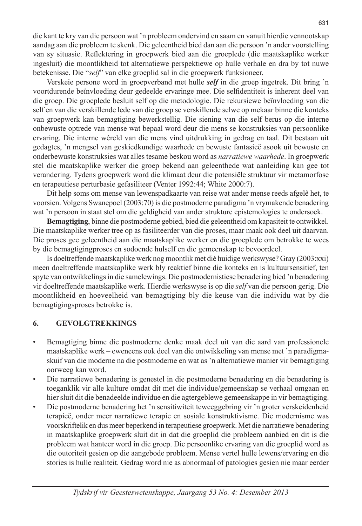die kant te kry van die persoon wat 'n probleem ondervind en saam en vanuit hierdie vennootskap aandag aan die probleem te skenk. Die geleentheid bied dan aan die persoon 'n ander voorstelling van sy situasie. Reflektering in groepwerk bied aan die groeplede (die maatskaplike werker ingesluit) die moontlikheid tot alternatiewe perspektiewe op hulle verhale en dra by tot nuwe betekenisse. Die "*self*" van elke groeplid sal in die groepwerk funksioneer.

Verskeie persone word in groepverband met hulle *self* in die groep ingetrek. Dit bring 'n voortdurende beïnvloeding deur gedeelde ervaringe mee. Die selfidentiteit is inherent deel van die groep. Die groeplede besluit self op die metodologie. Die rekursiewe beïnvloeding van die self en van die verskillende lede van die groep se verskillende selwe op mekaar binne die konteks van groepwerk kan bemagtiging bewerkstellig. Die siening van die self berus op die interne onbewuste optrede van mense wat bepaal word deur die mens se konstruksies van persoonlike ervaring. Die interne wêreld van die mens vind uitdrukking in gedrag en taal. Dit bestaan uit gedagtes, 'n mengsel van geskiedkundige waarhede en bewuste fantasieë asook uit bewuste en onderbewuste konstruksies wat alles tesame beskou word as *narratiewe waarhede*. In groepwerk stel die maatskaplike werker die groep bekend aan geleenthede wat aanleiding kan gee tot verandering. Tydens groepwerk word die klimaat deur die potensiële struktuur vir metamorfose en terapeutiese perturbasie gefasiliteer (Venter 1992:44; White 2000:7).

Dit help soms om mense van lewenspadkaarte van reise wat ander mense reeds afgelê het, te voorsien. Volgens Swanepoel (2003:70) is die postmoderne paradigma 'n vrymakende benadering wat 'n persoon in staat stel om die geldigheid van ander strukture epistemologies te ondersoek.

**Bemagtiging**, binne die postmoderne gebied, bied die geleentheid om kapasiteit te ontwikkel. Die maatskaplike werker tree op as fasiliteerder van die proses, maar maak ook deel uit daarvan. Die proses gee geleentheid aan die maatskaplike werker en die groeplede om betrokke te wees by die bemagtigingproses en sodoende hulself en die gemeenskap te bevoordeel.

Is doeltreffende maatskaplike werk nog moontlik met dié huidige werkswyse? Gray (2003:xxi) meen doeltreffende maatskaplike werk bly reaktief binne die konteks en is kultuursensitief, ten spyte van ontwikkelings in die samelewings. Die postmodernistiese benadering bied 'n benadering vir doeltreffende maatskaplike werk. Hierdie werkswyse is op die *self* van die persoon gerig. Die moontlikheid en hoeveelheid van bemagtiging bly die keuse van die individu wat by die bemagtigingsproses betrokke is.

#### **6. GEVOLGTREKKINGS**

- Bemagtiging binne die postmoderne denke maak deel uit van die aard van professionele maatskaplike werk – eweneens ook deel van die ontwikkeling van mense met 'n paradigmaskuif van die moderne na die postmoderne en wat as 'n alternatiewe manier vir bemagtiging oorweeg kan word.
- Die narratiewe benadering is genestel in die postmoderne benadering en die benadering is toeganklik vir alle kulture omdat dit met die individue/gemeenskap se verhaal omgaan en hier sluit dit die benadeelde individue en die agtergeblewe gemeenskappe in vir bemagtiging.
- Die postmoderne benadering het 'n sensitiwiteit teweeggebring vir 'n groter verskeidenheid terapieë, onder meer narratiewe terapie en sosiale konstruktivisme. Die modernisme was voorskriftelik en dus meer beperkend in terapeutiese groepwerk. Met die narratiewe benadering in maatskaplike groepwerk sluit dit in dat die groeplid die probleem aanbied en dit is die probleem wat hanteer word in die groep. Die persoonlike ervaring van die groeplid word as die outoriteit gesien op die aangebode probleem. Mense vertel hulle lewens/ervaring en die stories is hulle realiteit. Gedrag word nie as abnormaal of patologies gesien nie maar eerder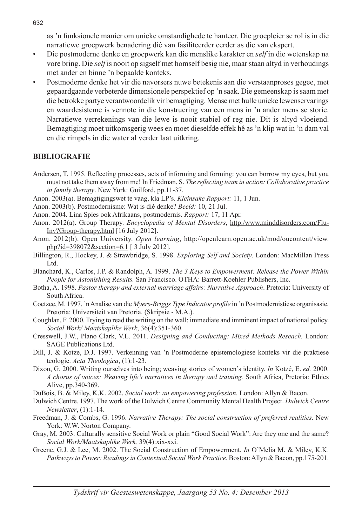as 'n funksionele manier om unieke omstandighede te hanteer. Die groepleier se rol is in die narratiewe groepwerk benadering dié van fasiliteerder eerder as die van ekspert.

- Die postmoderne denke en groepwerk kan die menslike karakter en *self* in die wetenskap na vore bring. Die *self* is nooit op sigself met homself besig nie, maar staan altyd in verhoudings met ander en binne 'n bepaalde konteks.
- Postmoderne denke het vir die navorsers nuwe betekenis aan die verstaanproses gegee, met gepaardgaande verbeterde dimensionele perspektief op 'n saak. Die gemeenskap is saam met die betrokke partye verantwoordelik vir bemagtiging. Mense met hulle unieke lewenservarings en waardesisteme is vennote in die konstruering van een mens in 'n ander mens se storie. Narratiewe verrekenings van die lewe is nooit stabiel of reg nie. Dit is altyd vloeiend. Bemagtiging moet uitkomsgerig wees en moet dieselfde effek hê as 'n klip wat in 'n dam val en die rimpels in die water al verder laat uitkring.

#### **BIBLIOGRAFIE**

- Andersen, T. 1995. Reflecting processes, acts of informing and forming: you can borrow my eyes, but you must not take them away from me! In Friedman, S. *The reflecting team in action: Collaborative practice in family therapy*. New York: Guilford, pp.11-37.
- Anon. 2003(a). Bemagtigingswet te vaag, kla LP's. *Kleinsake Rapport:* 11, 1 Jun.
- Anon. 2003(b). Postmodernisme: Wat is dié denke? *Beeld:* 10, 21 Jul.
- Anon. 2004. Lina Spies ook Afrikaans, postmodernis. *Rapport:* 17, 11 Apr.
- Anon. 2012(a). Group Therapy. *Encyclopedia of Mental Disorders*, http:/www.minddisorders.com/Flu-Inv?Group-therapy.html [16 July 2012].
- Anon. 2012(b). Open University. *Open learning*, http://openlearn.open.ac.uk/mod/oucontent/view. php?id=398072&section=6.1 [ 3 July 2012].
- Billington, R., Hockey, J. & Strawbridge, S. 1998. *Exploring Self and Society*. London: MacMillan Press Ltd.
- Blanchard, K., Carlos, J.P. & Randolph, A. 1999. *The 3 Keys to Empowerment: Release the Power Within People for Astonishing Results.* San Francisco. OTHA: Barrett-Koehler Publishers, Inc.
- Botha, A. 1998. *Pastor therapy and external marriage affairs: Narrative Approach*. Pretoria: University of South Africa.
- Coetzee, M. 1997. 'n Analise van die *Myers-Briggs Type Indicator profile* in 'n Postmodernistiese organisasie*.* Pretoria: Universiteit van Pretoria. (Skripsie - M.A.).
- Coughlan, F. 2000. Trying to read the writing on the wall: immediate and imminent impact of national policy. *Social Work/ Maatskaplike Werk*, 36(4):351-360.
- Cresswell, J.W., Plano Clark, V.L. 2011. *Designing and Conducting: Mixed Methods Reseach.* London: SAGE Publications Ltd.
- Dill, J. & Kotze, D.J. 1997. Verkenning van 'n Postmoderne epistemologiese konteks vir die praktiese teologie. *Acta Theologica*, (1):1-23.
- Dixon, G. 2000. Writing ourselves into being; weaving stories of women's identity. *In* Kotzé, E. *ed.* 2000. *A chorus of voices: Weaving life's narratives in therapy and training.* South Africa, Pretoria: Ethics Alive, pp.340-369.
- DuBois, B. & Miley, K.K. 2002. *Social work: an empowering profession*. London: Allyn & Bacon.
- Dulwich Centre. 1997. The work of the Dulwich Centre Community Mental Health Project. *Dulwich Centre Newsletter*, (1):1-14.
- Freedman, J. & Combs, G. 1996. *Narrative Therapy: The social construction of preferred realities.* New York: W.W. Norton Company.
- Gray, M. 2003. Culturally sensitive Social Work or plain "Good Social Work": Are they one and the same? *Social Work/Maatskaplike Werk,* 39(4):xix-xxi.
- Greene, G.J. & Lee, M. 2002. The Social Construction of Empowerment. *In* O'Melia M. & Miley, K.K. *Pathways to Power: Readings in Contextual Social Work Practice*. Boston: Allyn & Bacon, pp.175-201.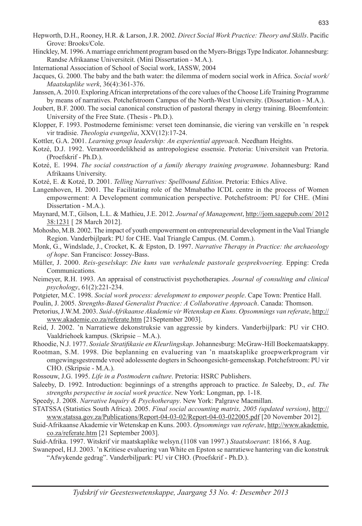- Hinckley, M. 1996. A marriage enrichment program based on the Myers-Briggs Type Indicator. Johannesburg: Randse Afrikaanse Universiteit. (Mini Dissertation - M.A.).
- International Association of School of Social work, IASSW, 2004
- Jacques, G. 2000. The baby and the bath water: the dilemma of modern social work in Africa. *Social work/ Maatskaplike werk*, 36(4):361-376.
- Janssen, A. 2010. Exploring African interpretations of the core values of the Choose Life Training Programme by means of narratives. Potchefstroom Campus of the North-West University. (Dissertation - M.A.).
- Joubert, B.F. 2000. The social canonical construction of pastoral therapy in clergy training. Bloemfontein: University of the Free State. (Thesis - Ph.D.).
- Klopper, F. 1993. Postmoderne feminisme: verset teen dominansie, die viering van verskille en 'n respek vir tradisie. *Theologia evangelia*, XXV(12):17-24.
- Kottler, G.A. 2001. *Learning group leadership: An experiential approach*. Needham Heights.
- Kotzé, D.J. 1992. Verantwoordelikheid as antropologiese essensie. Pretoria: Universiteit van Pretoria. (Proefskrif - Ph.D.).
- Kotzé, E. 1994. *The social construction of a family therapy training programme*. Johannesburg: Rand Afrikaans University.
- Kotzé, E. & Kotzé, D. 2001. *Telling Narratives: Spellbound Edition*. Pretoria: Ethics Alive.
- Langenhoven, H. 2001. The Facilitating role of the Mmabatho ICDL centre in the process of Women empowerment: A Development communication perspective. Potchefstroom: PU for CHE. (Mini Dissertation - M.A.).
- Maynard, M.T., Gilson, L.L. & Mathieu, J.E. 2012. *Journal of Management*, http://jom.sagepub.com/ 2012 38:1231 [ 28 March 2012].
- Mohosho, M.B. 2002. The impact of youth empowerment on entrepreneurial development in the Vaal Triangle Region. Vanderbijlpark: PU for CHE. Vaal Triangle Campus. (M. Comm.).
- Monk, G., Windslade, J., Crocket, K. & Epston, D. 1997. *Narrative Therapy in Practice: the archaeology of hope*. San Francisco: Jossey-Bass.
- Müller, J. 2000. *Reis-geselskap*: *Die kuns van verhalende pastorale gesprekvoering.* Epping: Creda Communications*.*
- Neimeyer, R.H. 1993. An appraisal of constructivist psychotherapies. *Journal of consulting and clinical psychology*, 61(2):221-234.
- Potgieter, M.C. 1998. *Social work process: development to empower people*. Cape Town: Prentice Hall.
- Poulin, J. 2005. *Strengths-Based Generalist Practice: A Collaborative Approach*. Canada: Thomson.
- Pretorius, J.W.M. 2003. *Suid-Afrikaanse Akademie vir Wetenskap en Kuns. Opsommings van referate*, http:// www.akademie.co.za/referate.htm [21September 2003].
- Reid, J. 2002. 'n Narratiewe dekonstruksie van aggressie by kinders. Vanderbijlpark: PU vir CHO. Vaaldriehoek kampus. (Skripsie – M.A.).

Rhoodie, N.J. 1977. *Sosiale Stratifikasie en Kleurlingskap*. Johannesburg: McGraw-Hill Boekemaatskappy.

- Rootman, S.M. 1998. Die beplanning en evaluering van 'n maatskaplike groepwerkprogram vir omgewingsgestremde vroeë adolessente dogters in Schoongesicht-gemeenskap. Potchefstroom: PU vir CHO. (Skripsie - M.A.).
- Rossouw, J.G. 1995. *Life in a Postmodern culture*. Pretoria: HSRC Publishers.
- Saleeby, D. 1992. Introduction: beginnings of a strengths approach to practice. *In* Saleeby, D., *ed*. *The strengths perspective in social work practice*. New York: Longman, pp. 1-18.
- Speedy, J. 2008. *Narrative Inquiry & Psychotherapy*. New York: Palgrave Macmillan.
- STATSSA (Statistics South Africa). 2005. *Final social accounting matrix, 2005 (updated version)*, http:// www.statssa.gov.za/Publications/Report-04-03-02/Report-04-03-022005.pdf [20 November 2012].
- Suid-Afrikaanse Akademie vir Wetenskap en Kuns. 2003. *Opsommings van referate*, http://www.akademie. co.za/referate.htm [21 September 2003].

Suid-Afrika. 1997. Witskrif vir maatskaplike welsyn.(1108 van 1997.) *Staatskoerant*: 18166, 8 Aug.

Swanepoel, H.J. 2003. 'n Kritiese evaluering van White en Epston se narratiewe hantering van die konstruk "Afwykende gedrag". Vanderbiljpark: PU vir CHO. (Proefskrif - Ph.D.).